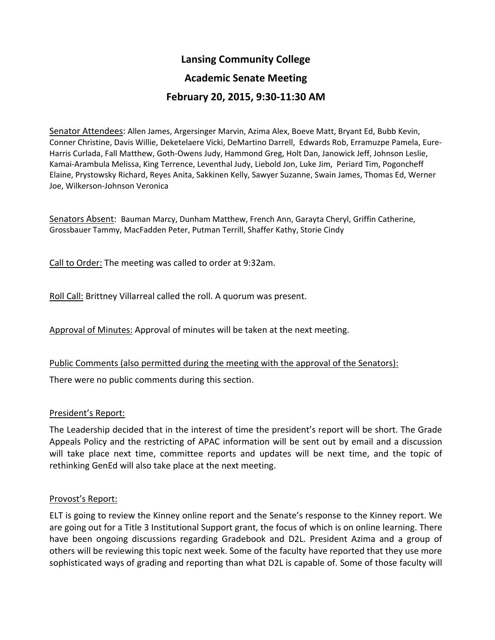# **Lansing Community College**

### **Academic Senate Meeting**

## **February 20, 2015, 9:30-11:30 AM**

Senator Attendees: Allen James, Argersinger Marvin, Azima Alex, Boeve Matt, Bryant Ed, Bubb Kevin, Conner Christine, Davis Willie, Deketelaere Vicki, DeMartino Darrell, Edwards Rob, Erramuzpe Pamela, Eure-Harris Curlada, Fall Matthew, Goth-Owens Judy, Hammond Greg, Holt Dan, Janowick Jeff, Johnson Leslie, Kamai-Arambula Melissa, King Terrence, Leventhal Judy, Liebold Jon, Luke Jim, Periard Tim, Pogoncheff Elaine, Prystowsky Richard, Reyes Anita, Sakkinen Kelly, Sawyer Suzanne, Swain James, Thomas Ed, Werner Joe, Wilkerson-Johnson Veronica

Senators Absent: Bauman Marcy, Dunham Matthew, French Ann, Garayta Cheryl, Griffin Catherine, Grossbauer Tammy, MacFadden Peter, Putman Terrill, Shaffer Kathy, Storie Cindy

Call to Order: The meeting was called to order at 9:32am.

Roll Call: Brittney Villarreal called the roll. A quorum was present.

Approval of Minutes: Approval of minutes will be taken at the next meeting.

#### Public Comments (also permitted during the meeting with the approval of the Senators):

There were no public comments during this section.

#### President's Report:

The Leadership decided that in the interest of time the president's report will be short. The Grade Appeals Policy and the restricting of APAC information will be sent out by email and a discussion will take place next time, committee reports and updates will be next time, and the topic of rethinking GenEd will also take place at the next meeting.

#### Provost's Report:

ELT is going to review the Kinney online report and the Senate's response to the Kinney report. We are going out for a Title 3 Institutional Support grant, the focus of which is on online learning. There have been ongoing discussions regarding Gradebook and D2L. President Azima and a group of others will be reviewing this topic next week. Some of the faculty have reported that they use more sophisticated ways of grading and reporting than what D2L is capable of. Some of those faculty will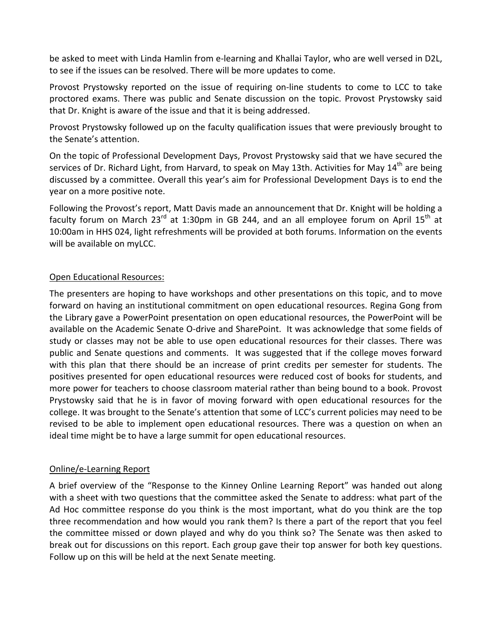be asked to meet with Linda Hamlin from e-learning and Khallai Taylor, who are well versed in D2L, to see if the issues can be resolved. There will be more updates to come.

Provost Prystowsky reported on the issue of requiring on-line students to come to LCC to take proctored exams. There was public and Senate discussion on the topic. Provost Prystowsky said that Dr. Knight is aware of the issue and that it is being addressed.

Provost Prystowsky followed up on the faculty qualification issues that were previously brought to the Senate's attention.

On the topic of Professional Development Days, Provost Prystowsky said that we have secured the services of Dr. Richard Light, from Harvard, to speak on May 13th. Activities for May 14<sup>th</sup> are being discussed by a committee. Overall this year's aim for Professional Development Days is to end the year on a more positive note.

Following the Provost's report, Matt Davis made an announcement that Dr. Knight will be holding a faculty forum on March 23<sup>rd</sup> at 1:30pm in GB 244, and an all employee forum on April 15<sup>th</sup> at 10:00am in HHS 024, light refreshments will be provided at both forums. Information on the events will be available on myLCC.

### Open Educational Resources:

The presenters are hoping to have workshops and other presentations on this topic, and to move forward on having an institutional commitment on open educational resources. Regina Gong from the Library gave a PowerPoint presentation on open educational resources, the PowerPoint will be available on the Academic Senate O-drive and SharePoint. It was acknowledge that some fields of study or classes may not be able to use open educational resources for their classes. There was public and Senate questions and comments. It was suggested that if the college moves forward with this plan that there should be an increase of print credits per semester for students. The positives presented for open educational resources were reduced cost of books for students, and more power for teachers to choose classroom material rather than being bound to a book. Provost Prystowsky said that he is in favor of moving forward with open educational resources for the college. It was brought to the Senate's attention that some of LCC's current policies may need to be revised to be able to implement open educational resources. There was a question on when an ideal time might be to have a large summit for open educational resources.

### Online/e-Learning Report

A brief overview of the "Response to the Kinney Online Learning Report" was handed out along with a sheet with two questions that the committee asked the Senate to address: what part of the Ad Hoc committee response do you think is the most important, what do you think are the top three recommendation and how would you rank them? Is there a part of the report that you feel the committee missed or down played and why do you think so? The Senate was then asked to break out for discussions on this report. Each group gave their top answer for both key questions. Follow up on this will be held at the next Senate meeting.